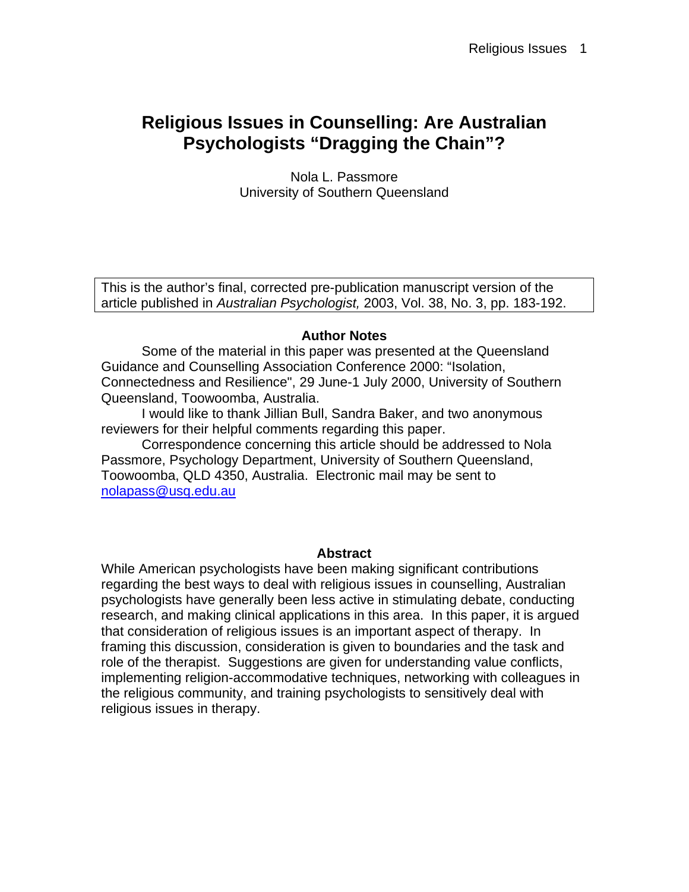# **Religious Issues in Counselling: Are Australian Psychologists "Dragging the Chain"?**

Nola L. Passmore University of Southern Queensland

This is the author's final, corrected pre-publication manuscript version of the article published in *Australian Psychologist,* 2003, Vol. 38, No. 3, pp. 183-192.

### **Author Notes**

Some of the material in this paper was presented at the Queensland Guidance and Counselling Association Conference 2000: "Isolation, Connectedness and Resilience", 29 June-1 July 2000, University of Southern Queensland, Toowoomba, Australia.

I would like to thank Jillian Bull, Sandra Baker, and two anonymous reviewers for their helpful comments regarding this paper.

Correspondence concerning this article should be addressed to Nola Passmore, Psychology Department, University of Southern Queensland, Toowoomba, QLD 4350, Australia. Electronic mail may be sent to [nolapass@usq.edu.au](mailto:nolapass@usq.edu.au)

#### **Abstract**

While American psychologists have been making significant contributions regarding the best ways to deal with religious issues in counselling, Australian psychologists have generally been less active in stimulating debate, conducting research, and making clinical applications in this area. In this paper, it is argued that consideration of religious issues is an important aspect of therapy. In framing this discussion, consideration is given to boundaries and the task and role of the therapist. Suggestions are given for understanding value conflicts, implementing religion-accommodative techniques, networking with colleagues in the religious community, and training psychologists to sensitively deal with religious issues in therapy.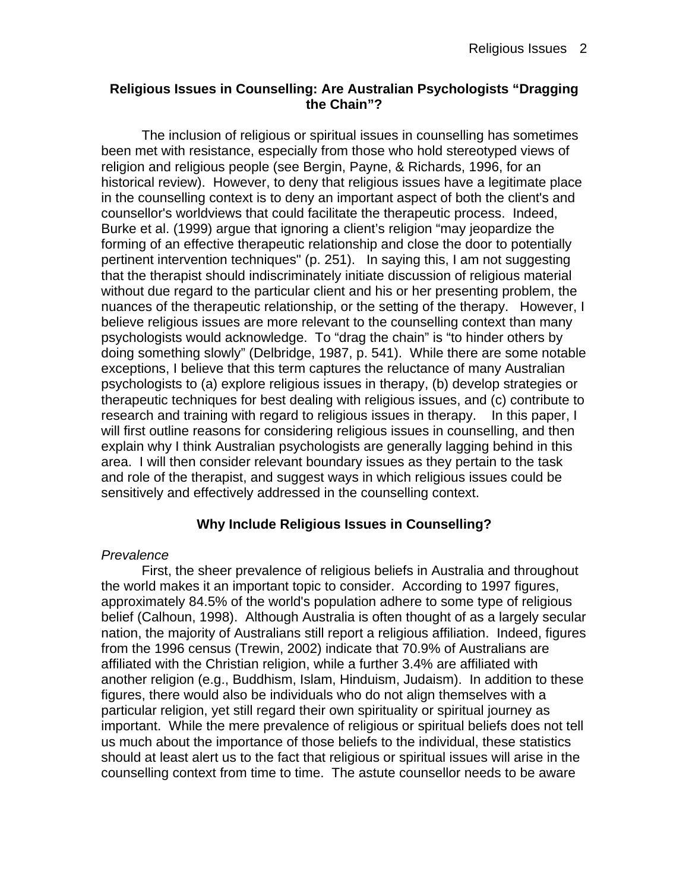# **Religious Issues in Counselling: Are Australian Psychologists "Dragging the Chain"?**

 The inclusion of religious or spiritual issues in counselling has sometimes been met with resistance, especially from those who hold stereotyped views of religion and religious people (see Bergin, Payne, & Richards, 1996, for an historical review). However, to deny that religious issues have a legitimate place in the counselling context is to deny an important aspect of both the client's and counsellor's worldviews that could facilitate the therapeutic process. Indeed, Burke et al. (1999) argue that ignoring a client's religion "may jeopardize the forming of an effective therapeutic relationship and close the door to potentially pertinent intervention techniques" (p. 251). In saying this, I am not suggesting that the therapist should indiscriminately initiate discussion of religious material without due regard to the particular client and his or her presenting problem, the nuances of the therapeutic relationship, or the setting of the therapy. However, I believe religious issues are more relevant to the counselling context than many psychologists would acknowledge. To "drag the chain" is "to hinder others by doing something slowly" (Delbridge, 1987, p. 541). While there are some notable exceptions, I believe that this term captures the reluctance of many Australian psychologists to (a) explore religious issues in therapy, (b) develop strategies or therapeutic techniques for best dealing with religious issues, and (c) contribute to research and training with regard to religious issues in therapy. In this paper, I will first outline reasons for considering religious issues in counselling, and then explain why I think Australian psychologists are generally lagging behind in this area. I will then consider relevant boundary issues as they pertain to the task and role of the therapist, and suggest ways in which religious issues could be sensitively and effectively addressed in the counselling context.

# **Why Include Religious Issues in Counselling?**

# *Prevalence*

 First, the sheer prevalence of religious beliefs in Australia and throughout the world makes it an important topic to consider. According to 1997 figures, approximately 84.5% of the world's population adhere to some type of religious belief (Calhoun, 1998). Although Australia is often thought of as a largely secular nation, the majority of Australians still report a religious affiliation. Indeed, figures from the 1996 census (Trewin, 2002) indicate that 70.9% of Australians are affiliated with the Christian religion, while a further 3.4% are affiliated with another religion (e.g., Buddhism, Islam, Hinduism, Judaism). In addition to these figures, there would also be individuals who do not align themselves with a particular religion, yet still regard their own spirituality or spiritual journey as important. While the mere prevalence of religious or spiritual beliefs does not tell us much about the importance of those beliefs to the individual, these statistics should at least alert us to the fact that religious or spiritual issues will arise in the counselling context from time to time. The astute counsellor needs to be aware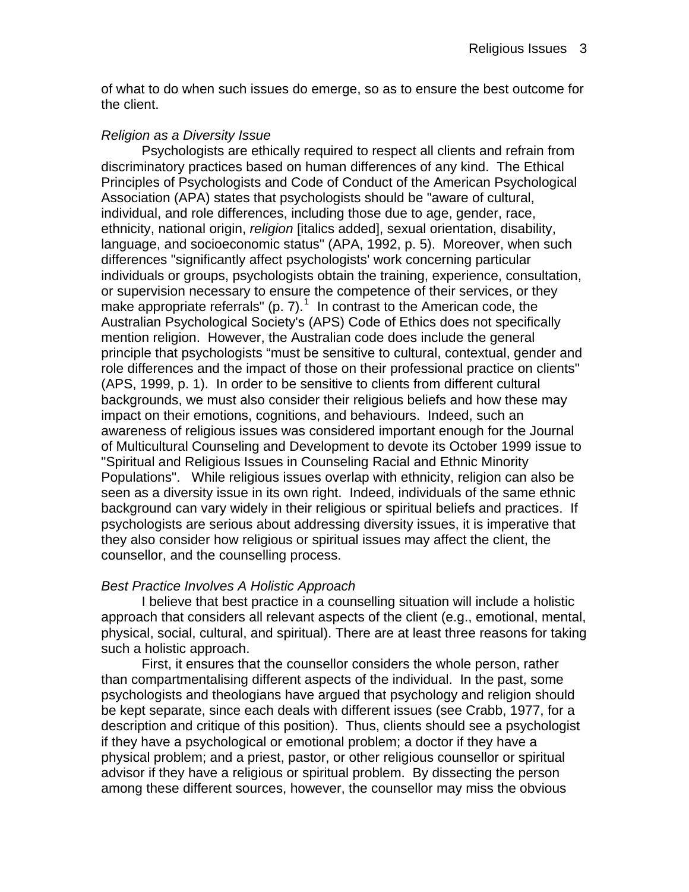of what to do when such issues do emerge, so as to ensure the best outcome for the client.

# *Religion as a Diversity Issue*

 Psychologists are ethically required to respect all clients and refrain from discriminatory practices based on human differences of any kind. The Ethical Principles of Psychologists and Code of Conduct of the American Psychological Association (APA) states that psychologists should be "aware of cultural, individual, and role differences, including those due to age, gender, race, ethnicity, national origin, *religion* [italics added], sexual orientation, disability, language, and socioeconomic status" (APA, 1992, p. 5). Moreover, when such differences "significantly affect psychologists' work concerning particular individuals or groups, psychologists obtain the training, experience, consultation, or supervision necessary to ensure the competence of their services, or they make appropriate referrals" (p. 7).<sup>[1](#page-22-0)</sup> In contrast to the American code, the Australian Psychological Society's (APS) Code of Ethics does not specifically mention religion. However, the Australian code does include the general principle that psychologists "must be sensitive to cultural, contextual, gender and role differences and the impact of those on their professional practice on clients" (APS, 1999, p. 1). In order to be sensitive to clients from different cultural backgrounds, we must also consider their religious beliefs and how these may impact on their emotions, cognitions, and behaviours. Indeed, such an awareness of religious issues was considered important enough for the Journal of Multicultural Counseling and Development to devote its October 1999 issue to "Spiritual and Religious Issues in Counseling Racial and Ethnic Minority Populations". While religious issues overlap with ethnicity, religion can also be seen as a diversity issue in its own right. Indeed, individuals of the same ethnic background can vary widely in their religious or spiritual beliefs and practices. If psychologists are serious about addressing diversity issues, it is imperative that they also consider how religious or spiritual issues may affect the client, the counsellor, and the counselling process.

# *Best Practice Involves A Holistic Approach*

I believe that best practice in a counselling situation will include a holistic approach that considers all relevant aspects of the client (e.g., emotional, mental, physical, social, cultural, and spiritual). There are at least three reasons for taking such a holistic approach.

First, it ensures that the counsellor considers the whole person, rather than compartmentalising different aspects of the individual. In the past, some psychologists and theologians have argued that psychology and religion should be kept separate, since each deals with different issues (see Crabb, 1977, for a description and critique of this position). Thus, clients should see a psychologist if they have a psychological or emotional problem; a doctor if they have a physical problem; and a priest, pastor, or other religious counsellor or spiritual advisor if they have a religious or spiritual problem. By dissecting the person among these different sources, however, the counsellor may miss the obvious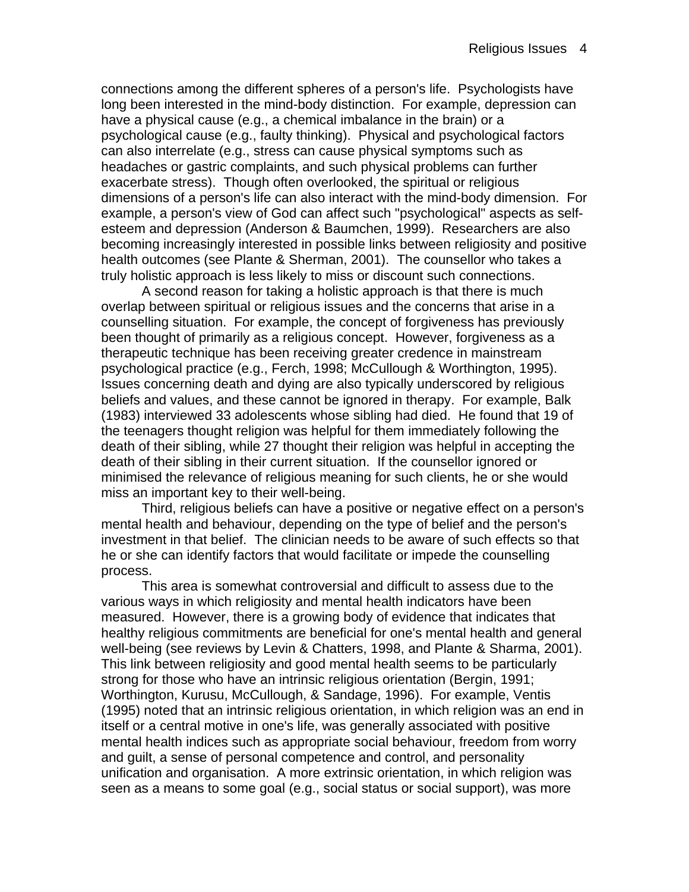connections among the different spheres of a person's life. Psychologists have long been interested in the mind-body distinction. For example, depression can have a physical cause (e.g., a chemical imbalance in the brain) or a psychological cause (e.g., faulty thinking). Physical and psychological factors can also interrelate (e.g., stress can cause physical symptoms such as headaches or gastric complaints, and such physical problems can further exacerbate stress). Though often overlooked, the spiritual or religious dimensions of a person's life can also interact with the mind-body dimension. For example, a person's view of God can affect such "psychological" aspects as selfesteem and depression (Anderson & Baumchen, 1999). Researchers are also becoming increasingly interested in possible links between religiosity and positive health outcomes (see Plante & Sherman, 2001). The counsellor who takes a truly holistic approach is less likely to miss or discount such connections.

 A second reason for taking a holistic approach is that there is much overlap between spiritual or religious issues and the concerns that arise in a counselling situation. For example, the concept of forgiveness has previously been thought of primarily as a religious concept. However, forgiveness as a therapeutic technique has been receiving greater credence in mainstream psychological practice (e.g., Ferch, 1998; McCullough & Worthington, 1995). Issues concerning death and dying are also typically underscored by religious beliefs and values, and these cannot be ignored in therapy. For example, Balk (1983) interviewed 33 adolescents whose sibling had died. He found that 19 of the teenagers thought religion was helpful for them immediately following the death of their sibling, while 27 thought their religion was helpful in accepting the death of their sibling in their current situation. If the counsellor ignored or minimised the relevance of religious meaning for such clients, he or she would miss an important key to their well-being.

 Third, religious beliefs can have a positive or negative effect on a person's mental health and behaviour, depending on the type of belief and the person's investment in that belief. The clinician needs to be aware of such effects so that he or she can identify factors that would facilitate or impede the counselling process.

This area is somewhat controversial and difficult to assess due to the various ways in which religiosity and mental health indicators have been measured. However, there is a growing body of evidence that indicates that healthy religious commitments are beneficial for one's mental health and general well-being (see reviews by Levin & Chatters, 1998, and Plante & Sharma, 2001). This link between religiosity and good mental health seems to be particularly strong for those who have an intrinsic religious orientation (Bergin, 1991; Worthington, Kurusu, McCullough, & Sandage, 1996). For example, Ventis (1995) noted that an intrinsic religious orientation, in which religion was an end in itself or a central motive in one's life, was generally associated with positive mental health indices such as appropriate social behaviour, freedom from worry and guilt, a sense of personal competence and control, and personality unification and organisation. A more extrinsic orientation, in which religion was seen as a means to some goal (e.g., social status or social support), was more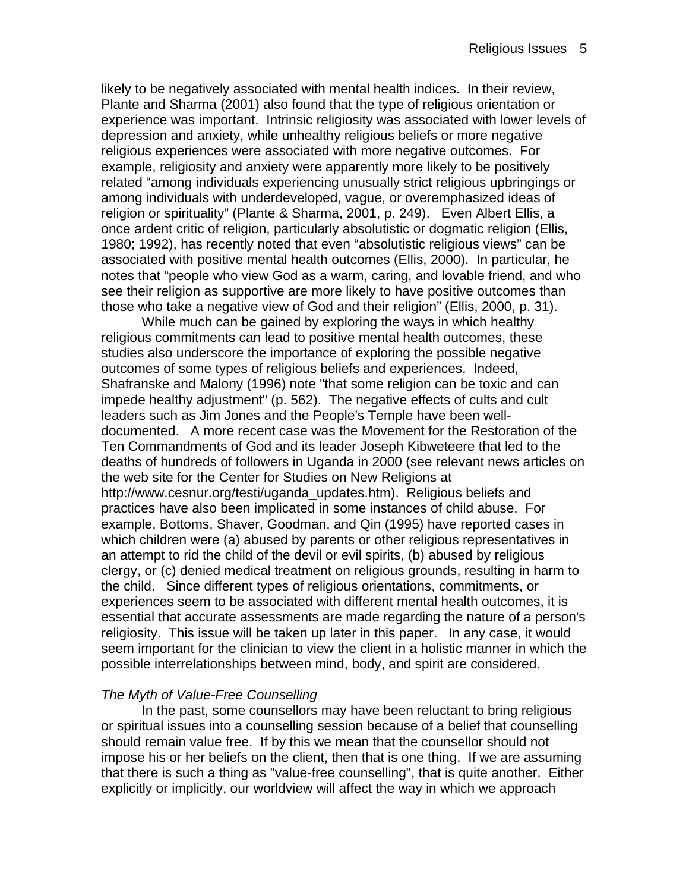likely to be negatively associated with mental health indices. In their review, Plante and Sharma (2001) also found that the type of religious orientation or experience was important. Intrinsic religiosity was associated with lower levels of depression and anxiety, while unhealthy religious beliefs or more negative religious experiences were associated with more negative outcomes. For example, religiosity and anxiety were apparently more likely to be positively related "among individuals experiencing unusually strict religious upbringings or among individuals with underdeveloped, vague, or overemphasized ideas of religion or spirituality" (Plante & Sharma, 2001, p. 249). Even Albert Ellis, a once ardent critic of religion, particularly absolutistic or dogmatic religion (Ellis, 1980; 1992), has recently noted that even "absolutistic religious views" can be associated with positive mental health outcomes (Ellis, 2000). In particular, he notes that "people who view God as a warm, caring, and lovable friend, and who see their religion as supportive are more likely to have positive outcomes than those who take a negative view of God and their religion" (Ellis, 2000, p. 31).

While much can be gained by exploring the ways in which healthy religious commitments can lead to positive mental health outcomes, these studies also underscore the importance of exploring the possible negative outcomes of some types of religious beliefs and experiences. Indeed, Shafranske and Malony (1996) note "that some religion can be toxic and can impede healthy adjustment" (p. 562). The negative effects of cults and cult leaders such as Jim Jones and the People's Temple have been welldocumented. A more recent case was the Movement for the Restoration of the Ten Commandments of God and its leader Joseph Kibweteere that led to the deaths of hundreds of followers in Uganda in 2000 (see relevant news articles on the web site for the Center for Studies on New Religions at http://www.cesnur.org/testi/uganda\_updates.htm). Religious beliefs and practices have also been implicated in some instances of child abuse. For example, Bottoms, Shaver, Goodman, and Qin (1995) have reported cases in which children were (a) abused by parents or other religious representatives in an attempt to rid the child of the devil or evil spirits, (b) abused by religious clergy, or (c) denied medical treatment on religious grounds, resulting in harm to the child. Since different types of religious orientations, commitments, or experiences seem to be associated with different mental health outcomes, it is essential that accurate assessments are made regarding the nature of a person's religiosity. This issue will be taken up later in this paper. In any case, it would seem important for the clinician to view the client in a holistic manner in which the possible interrelationships between mind, body, and spirit are considered.

### *The Myth of Value-Free Counselling*

 In the past, some counsellors may have been reluctant to bring religious or spiritual issues into a counselling session because of a belief that counselling should remain value free. If by this we mean that the counsellor should not impose his or her beliefs on the client, then that is one thing. If we are assuming that there is such a thing as "value-free counselling", that is quite another. Either explicitly or implicitly, our worldview will affect the way in which we approach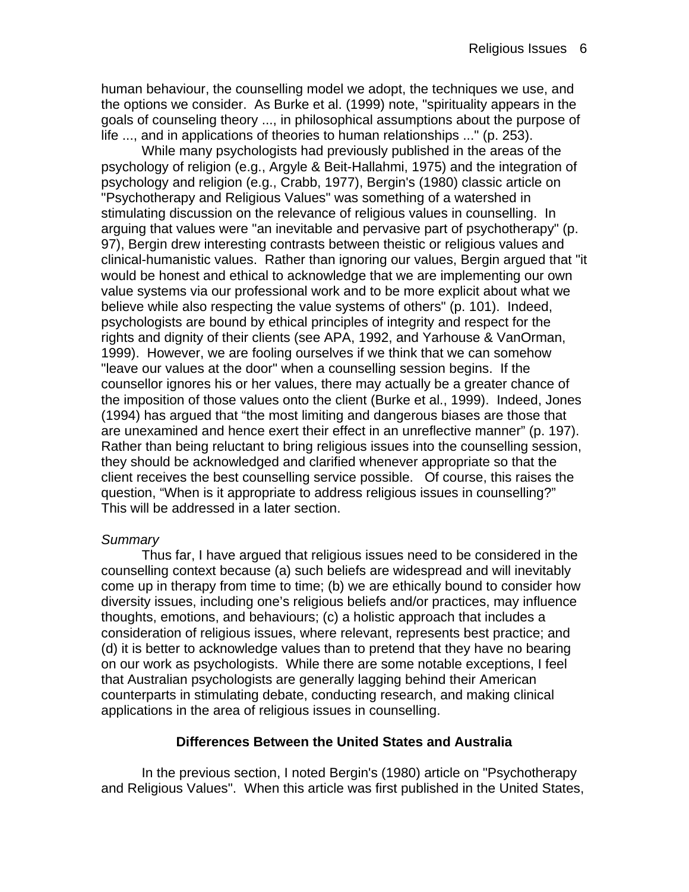human behaviour, the counselling model we adopt, the techniques we use, and the options we consider. As Burke et al. (1999) note, "spirituality appears in the goals of counseling theory ..., in philosophical assumptions about the purpose of life ..., and in applications of theories to human relationships ..." (p. 253).

 While many psychologists had previously published in the areas of the psychology of religion (e.g., Argyle & Beit-Hallahmi, 1975) and the integration of psychology and religion (e.g., Crabb, 1977), Bergin's (1980) classic article on "Psychotherapy and Religious Values" was something of a watershed in stimulating discussion on the relevance of religious values in counselling. In arguing that values were "an inevitable and pervasive part of psychotherapy" (p. 97), Bergin drew interesting contrasts between theistic or religious values and clinical-humanistic values. Rather than ignoring our values, Bergin argued that "it would be honest and ethical to acknowledge that we are implementing our own value systems via our professional work and to be more explicit about what we believe while also respecting the value systems of others" (p. 101). Indeed, psychologists are bound by ethical principles of integrity and respect for the rights and dignity of their clients (see APA, 1992, and Yarhouse & VanOrman, 1999). However, we are fooling ourselves if we think that we can somehow "leave our values at the door" when a counselling session begins. If the counsellor ignores his or her values, there may actually be a greater chance of the imposition of those values onto the client (Burke et al., 1999). Indeed, Jones (1994) has argued that "the most limiting and dangerous biases are those that are unexamined and hence exert their effect in an unreflective manner" (p. 197). Rather than being reluctant to bring religious issues into the counselling session, they should be acknowledged and clarified whenever appropriate so that the client receives the best counselling service possible. Of course, this raises the question, "When is it appropriate to address religious issues in counselling?" This will be addressed in a later section.

# *Summary*

 Thus far, I have argued that religious issues need to be considered in the counselling context because (a) such beliefs are widespread and will inevitably come up in therapy from time to time; (b) we are ethically bound to consider how diversity issues, including one's religious beliefs and/or practices, may influence thoughts, emotions, and behaviours; (c) a holistic approach that includes a consideration of religious issues, where relevant, represents best practice; and (d) it is better to acknowledge values than to pretend that they have no bearing on our work as psychologists. While there are some notable exceptions, I feel that Australian psychologists are generally lagging behind their American counterparts in stimulating debate, conducting research, and making clinical applications in the area of religious issues in counselling.

# **Differences Between the United States and Australia**

In the previous section, I noted Bergin's (1980) article on "Psychotherapy and Religious Values". When this article was first published in the United States,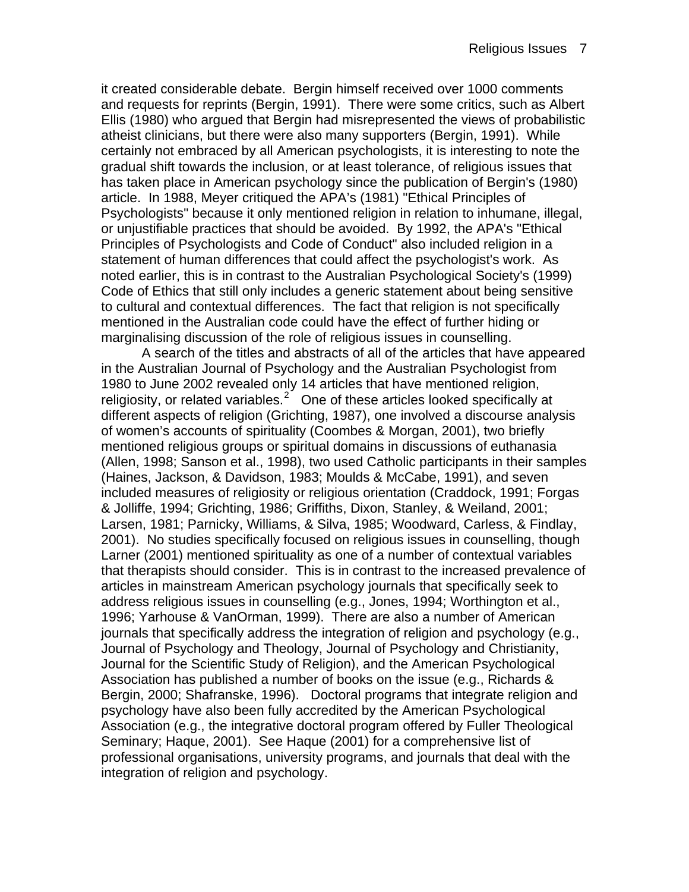it created considerable debate. Bergin himself received over 1000 comments and requests for reprints (Bergin, 1991). There were some critics, such as Albert Ellis (1980) who argued that Bergin had misrepresented the views of probabilistic atheist clinicians, but there were also many supporters (Bergin, 1991). While certainly not embraced by all American psychologists, it is interesting to note the gradual shift towards the inclusion, or at least tolerance, of religious issues that has taken place in American psychology since the publication of Bergin's (1980) article. In 1988, Meyer critiqued the APA's (1981) "Ethical Principles of Psychologists" because it only mentioned religion in relation to inhumane, illegal, or unjustifiable practices that should be avoided. By 1992, the APA's "Ethical Principles of Psychologists and Code of Conduct" also included religion in a statement of human differences that could affect the psychologist's work. As noted earlier, this is in contrast to the Australian Psychological Society's (1999) Code of Ethics that still only includes a generic statement about being sensitive to cultural and contextual differences. The fact that religion is not specifically mentioned in the Australian code could have the effect of further hiding or marginalising discussion of the role of religious issues in counselling.

 A search of the titles and abstracts of all of the articles that have appeared in the Australian Journal of Psychology and the Australian Psychologist from 1980 to June 2002 revealed only 14 articles that have mentioned religion, religiosity, or related variables. $2^2$  $2^2$  One of these articles looked specifically at different aspects of religion (Grichting, 1987), one involved a discourse analysis of women's accounts of spirituality (Coombes & Morgan, 2001), two briefly mentioned religious groups or spiritual domains in discussions of euthanasia (Allen, 1998; Sanson et al., 1998), two used Catholic participants in their samples (Haines, Jackson, & Davidson, 1983; Moulds & McCabe, 1991), and seven included measures of religiosity or religious orientation (Craddock, 1991; Forgas & Jolliffe, 1994; Grichting, 1986; Griffiths, Dixon, Stanley, & Weiland, 2001; Larsen, 1981; Parnicky, Williams, & Silva, 1985; Woodward, Carless, & Findlay, 2001). No studies specifically focused on religious issues in counselling, though Larner (2001) mentioned spirituality as one of a number of contextual variables that therapists should consider. This is in contrast to the increased prevalence of articles in mainstream American psychology journals that specifically seek to address religious issues in counselling (e.g., Jones, 1994; Worthington et al., 1996; Yarhouse & VanOrman, 1999). There are also a number of American journals that specifically address the integration of religion and psychology (e.g., Journal of Psychology and Theology, Journal of Psychology and Christianity, Journal for the Scientific Study of Religion), and the American Psychological Association has published a number of books on the issue (e.g., Richards & Bergin, 2000; Shafranske, 1996). Doctoral programs that integrate religion and psychology have also been fully accredited by the American Psychological Association (e.g., the integrative doctoral program offered by Fuller Theological Seminary; Haque, 2001). See Haque (2001) for a comprehensive list of professional organisations, university programs, and journals that deal with the integration of religion and psychology.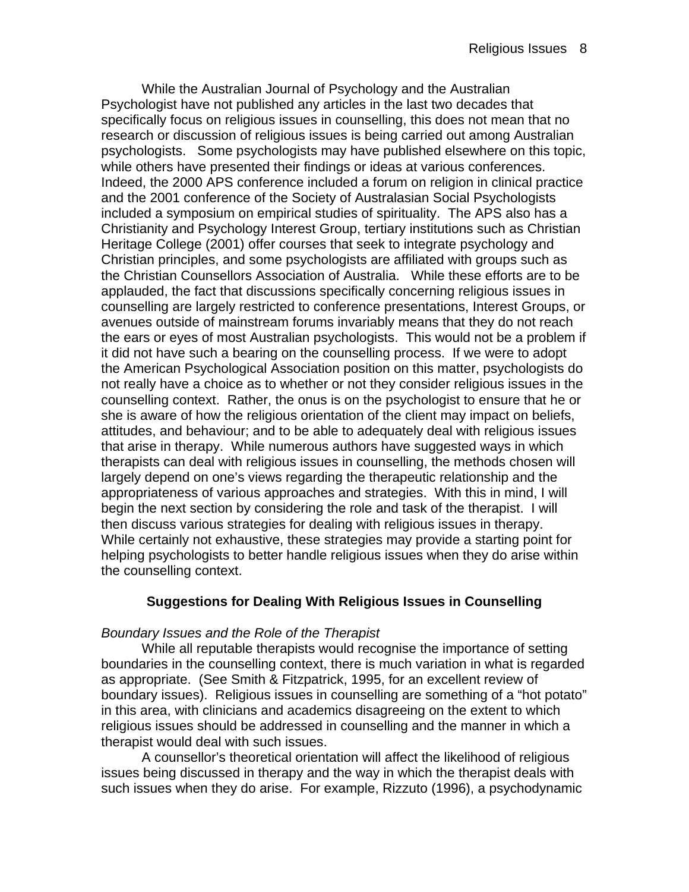While the Australian Journal of Psychology and the Australian Psychologist have not published any articles in the last two decades that specifically focus on religious issues in counselling, this does not mean that no research or discussion of religious issues is being carried out among Australian psychologists. Some psychologists may have published elsewhere on this topic, while others have presented their findings or ideas at various conferences. Indeed, the 2000 APS conference included a forum on religion in clinical practice and the 2001 conference of the Society of Australasian Social Psychologists included a symposium on empirical studies of spirituality. The APS also has a Christianity and Psychology Interest Group, tertiary institutions such as Christian Heritage College (2001) offer courses that seek to integrate psychology and Christian principles, and some psychologists are affiliated with groups such as the Christian Counsellors Association of Australia. While these efforts are to be applauded, the fact that discussions specifically concerning religious issues in counselling are largely restricted to conference presentations, Interest Groups, or avenues outside of mainstream forums invariably means that they do not reach the ears or eyes of most Australian psychologists. This would not be a problem if it did not have such a bearing on the counselling process. If we were to adopt the American Psychological Association position on this matter, psychologists do not really have a choice as to whether or not they consider religious issues in the counselling context. Rather, the onus is on the psychologist to ensure that he or she is aware of how the religious orientation of the client may impact on beliefs, attitudes, and behaviour; and to be able to adequately deal with religious issues that arise in therapy. While numerous authors have suggested ways in which therapists can deal with religious issues in counselling, the methods chosen will largely depend on one's views regarding the therapeutic relationship and the appropriateness of various approaches and strategies. With this in mind, I will begin the next section by considering the role and task of the therapist. I will then discuss various strategies for dealing with religious issues in therapy. While certainly not exhaustive, these strategies may provide a starting point for helping psychologists to better handle religious issues when they do arise within the counselling context.

# **Suggestions for Dealing With Religious Issues in Counselling**

# *Boundary Issues and the Role of the Therapist*

While all reputable therapists would recognise the importance of setting boundaries in the counselling context, there is much variation in what is regarded as appropriate. (See Smith & Fitzpatrick, 1995, for an excellent review of boundary issues). Religious issues in counselling are something of a "hot potato" in this area, with clinicians and academics disagreeing on the extent to which religious issues should be addressed in counselling and the manner in which a therapist would deal with such issues.

A counsellor's theoretical orientation will affect the likelihood of religious issues being discussed in therapy and the way in which the therapist deals with such issues when they do arise. For example, Rizzuto (1996), a psychodynamic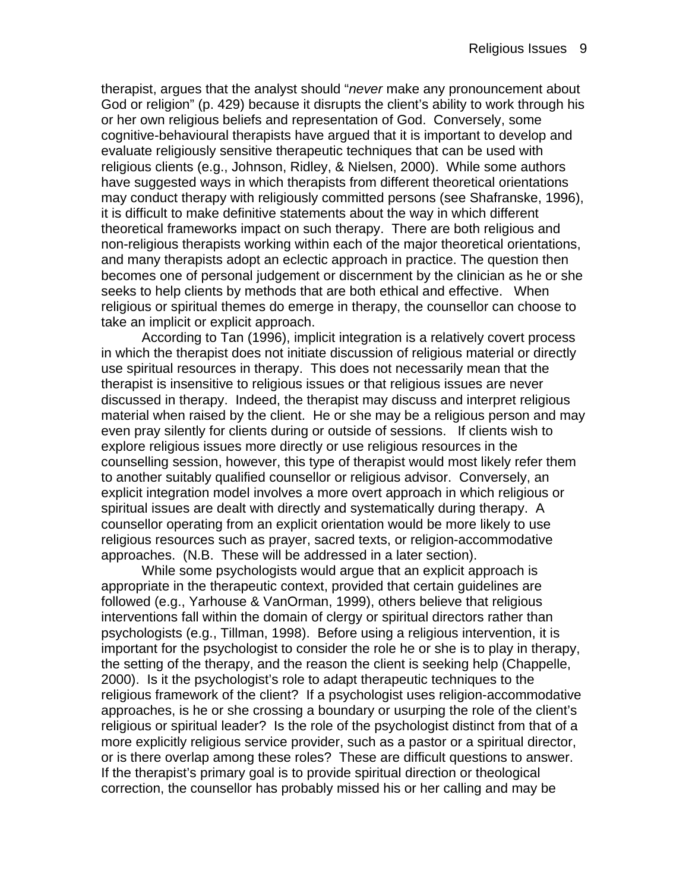therapist, argues that the analyst should "*never* make any pronouncement about God or religion" (p. 429) because it disrupts the client's ability to work through his or her own religious beliefs and representation of God. Conversely, some cognitive-behavioural therapists have argued that it is important to develop and evaluate religiously sensitive therapeutic techniques that can be used with religious clients (e.g., Johnson, Ridley, & Nielsen, 2000). While some authors have suggested ways in which therapists from different theoretical orientations may conduct therapy with religiously committed persons (see Shafranske, 1996), it is difficult to make definitive statements about the way in which different theoretical frameworks impact on such therapy. There are both religious and non-religious therapists working within each of the major theoretical orientations, and many therapists adopt an eclectic approach in practice. The question then becomes one of personal judgement or discernment by the clinician as he or she seeks to help clients by methods that are both ethical and effective. When religious or spiritual themes do emerge in therapy, the counsellor can choose to take an implicit or explicit approach.

According to Tan (1996), implicit integration is a relatively covert process in which the therapist does not initiate discussion of religious material or directly use spiritual resources in therapy. This does not necessarily mean that the therapist is insensitive to religious issues or that religious issues are never discussed in therapy. Indeed, the therapist may discuss and interpret religious material when raised by the client. He or she may be a religious person and may even pray silently for clients during or outside of sessions. If clients wish to explore religious issues more directly or use religious resources in the counselling session, however, this type of therapist would most likely refer them to another suitably qualified counsellor or religious advisor. Conversely, an explicit integration model involves a more overt approach in which religious or spiritual issues are dealt with directly and systematically during therapy. A counsellor operating from an explicit orientation would be more likely to use religious resources such as prayer, sacred texts, or religion-accommodative approaches. (N.B. These will be addressed in a later section).

While some psychologists would argue that an explicit approach is appropriate in the therapeutic context, provided that certain guidelines are followed (e.g., Yarhouse & VanOrman, 1999), others believe that religious interventions fall within the domain of clergy or spiritual directors rather than psychologists (e.g., Tillman, 1998). Before using a religious intervention, it is important for the psychologist to consider the role he or she is to play in therapy, the setting of the therapy, and the reason the client is seeking help (Chappelle, 2000). Is it the psychologist's role to adapt therapeutic techniques to the religious framework of the client? If a psychologist uses religion-accommodative approaches, is he or she crossing a boundary or usurping the role of the client's religious or spiritual leader? Is the role of the psychologist distinct from that of a more explicitly religious service provider, such as a pastor or a spiritual director, or is there overlap among these roles? These are difficult questions to answer. If the therapist's primary goal is to provide spiritual direction or theological correction, the counsellor has probably missed his or her calling and may be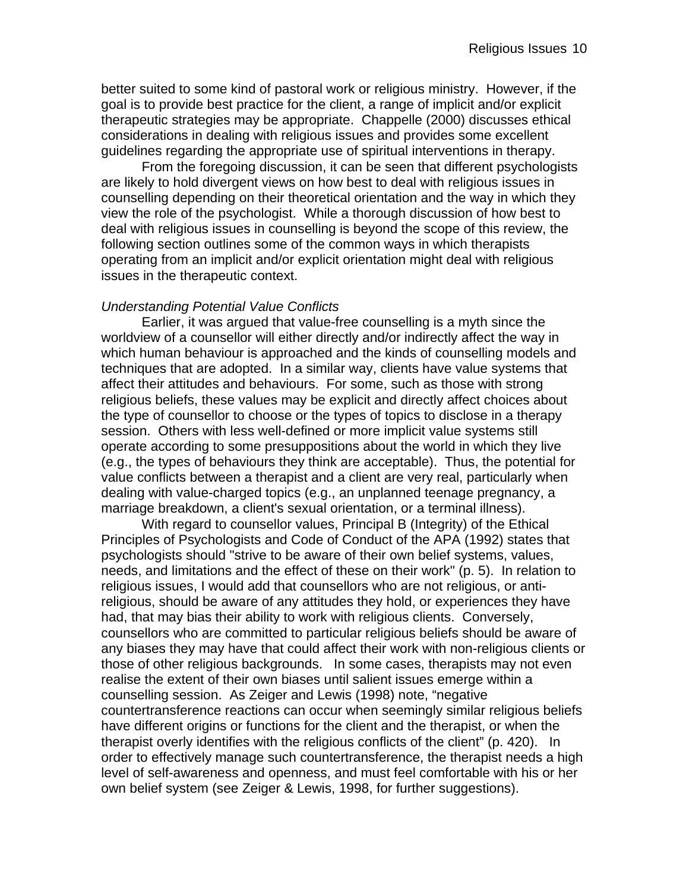better suited to some kind of pastoral work or religious ministry. However, if the goal is to provide best practice for the client, a range of implicit and/or explicit therapeutic strategies may be appropriate. Chappelle (2000) discusses ethical considerations in dealing with religious issues and provides some excellent guidelines regarding the appropriate use of spiritual interventions in therapy.

From the foregoing discussion, it can be seen that different psychologists are likely to hold divergent views on how best to deal with religious issues in counselling depending on their theoretical orientation and the way in which they view the role of the psychologist. While a thorough discussion of how best to deal with religious issues in counselling is beyond the scope of this review, the following section outlines some of the common ways in which therapists operating from an implicit and/or explicit orientation might deal with religious issues in the therapeutic context.

### *Understanding Potential Value Conflicts*

Earlier, it was argued that value-free counselling is a myth since the worldview of a counsellor will either directly and/or indirectly affect the way in which human behaviour is approached and the kinds of counselling models and techniques that are adopted. In a similar way, clients have value systems that affect their attitudes and behaviours. For some, such as those with strong religious beliefs, these values may be explicit and directly affect choices about the type of counsellor to choose or the types of topics to disclose in a therapy session. Others with less well-defined or more implicit value systems still operate according to some presuppositions about the world in which they live (e.g., the types of behaviours they think are acceptable). Thus, the potential for value conflicts between a therapist and a client are very real, particularly when dealing with value-charged topics (e.g., an unplanned teenage pregnancy, a marriage breakdown, a client's sexual orientation, or a terminal illness).

 With regard to counsellor values, Principal B (Integrity) of the Ethical Principles of Psychologists and Code of Conduct of the APA (1992) states that psychologists should "strive to be aware of their own belief systems, values, needs, and limitations and the effect of these on their work" (p. 5). In relation to religious issues, I would add that counsellors who are not religious, or antireligious, should be aware of any attitudes they hold, or experiences they have had, that may bias their ability to work with religious clients. Conversely, counsellors who are committed to particular religious beliefs should be aware of any biases they may have that could affect their work with non-religious clients or those of other religious backgrounds. In some cases, therapists may not even realise the extent of their own biases until salient issues emerge within a counselling session. As Zeiger and Lewis (1998) note, "negative countertransference reactions can occur when seemingly similar religious beliefs have different origins or functions for the client and the therapist, or when the therapist overly identifies with the religious conflicts of the client" (p. 420). In order to effectively manage such countertransference, the therapist needs a high level of self-awareness and openness, and must feel comfortable with his or her own belief system (see Zeiger & Lewis, 1998, for further suggestions).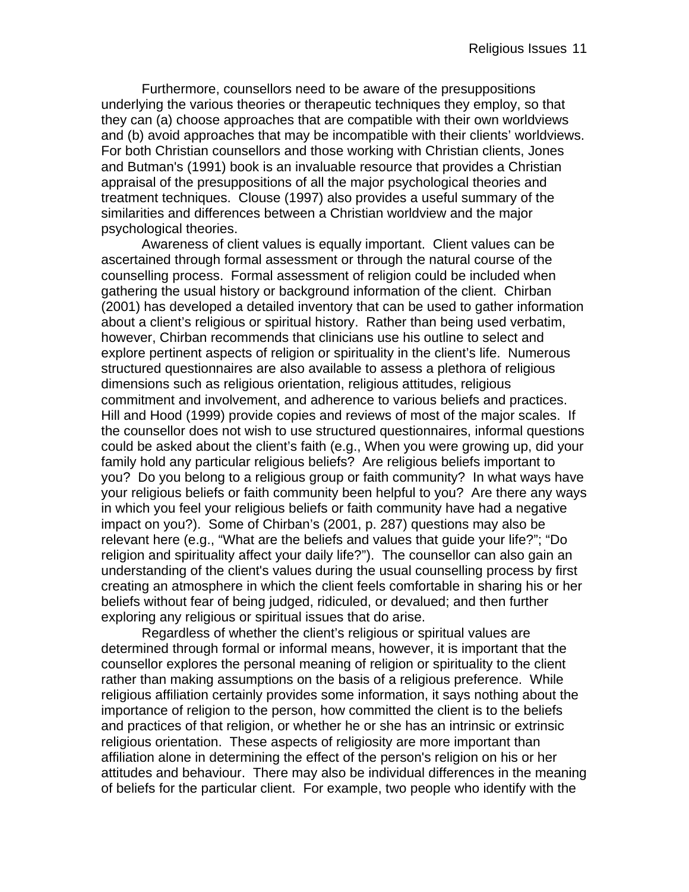Furthermore, counsellors need to be aware of the presuppositions underlying the various theories or therapeutic techniques they employ, so that they can (a) choose approaches that are compatible with their own worldviews and (b) avoid approaches that may be incompatible with their clients' worldviews. For both Christian counsellors and those working with Christian clients, Jones and Butman's (1991) book is an invaluable resource that provides a Christian appraisal of the presuppositions of all the major psychological theories and treatment techniques. Clouse (1997) also provides a useful summary of the similarities and differences between a Christian worldview and the major psychological theories.

Awareness of client values is equally important. Client values can be ascertained through formal assessment or through the natural course of the counselling process. Formal assessment of religion could be included when gathering the usual history or background information of the client. Chirban (2001) has developed a detailed inventory that can be used to gather information about a client's religious or spiritual history. Rather than being used verbatim, however, Chirban recommends that clinicians use his outline to select and explore pertinent aspects of religion or spirituality in the client's life. Numerous structured questionnaires are also available to assess a plethora of religious dimensions such as religious orientation, religious attitudes, religious commitment and involvement, and adherence to various beliefs and practices. Hill and Hood (1999) provide copies and reviews of most of the major scales. If the counsellor does not wish to use structured questionnaires, informal questions could be asked about the client's faith (e.g., When you were growing up, did your family hold any particular religious beliefs? Are religious beliefs important to you? Do you belong to a religious group or faith community? In what ways have your religious beliefs or faith community been helpful to you? Are there any ways in which you feel your religious beliefs or faith community have had a negative impact on you?). Some of Chirban's (2001, p. 287) questions may also be relevant here (e.g., "What are the beliefs and values that guide your life?"; "Do religion and spirituality affect your daily life?"). The counsellor can also gain an understanding of the client's values during the usual counselling process by first creating an atmosphere in which the client feels comfortable in sharing his or her beliefs without fear of being judged, ridiculed, or devalued; and then further exploring any religious or spiritual issues that do arise.

 Regardless of whether the client's religious or spiritual values are determined through formal or informal means, however, it is important that the counsellor explores the personal meaning of religion or spirituality to the client rather than making assumptions on the basis of a religious preference. While religious affiliation certainly provides some information, it says nothing about the importance of religion to the person, how committed the client is to the beliefs and practices of that religion, or whether he or she has an intrinsic or extrinsic religious orientation. These aspects of religiosity are more important than affiliation alone in determining the effect of the person's religion on his or her attitudes and behaviour. There may also be individual differences in the meaning of beliefs for the particular client. For example, two people who identify with the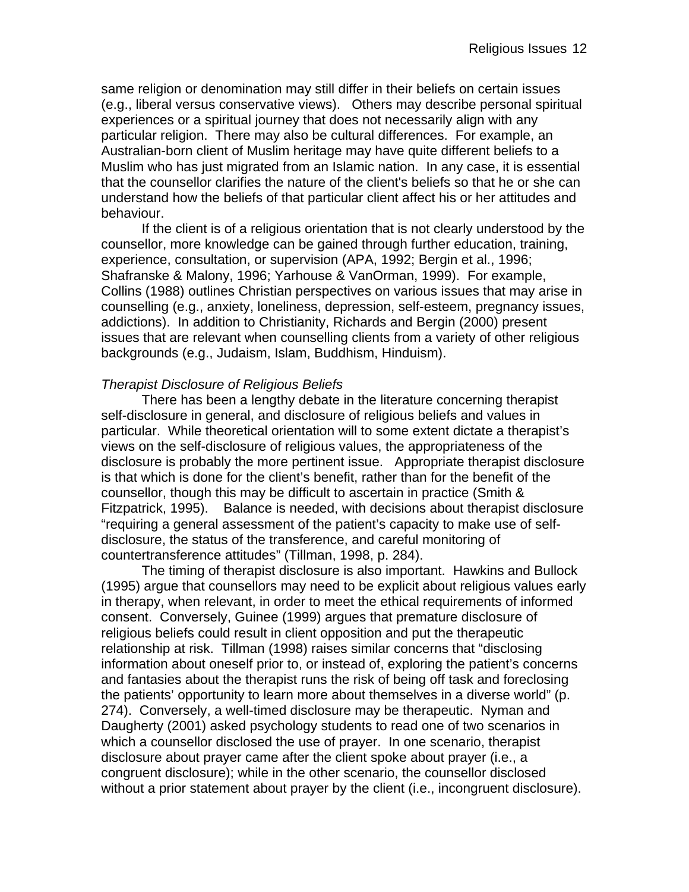same religion or denomination may still differ in their beliefs on certain issues (e.g., liberal versus conservative views). Others may describe personal spiritual experiences or a spiritual journey that does not necessarily align with any particular religion. There may also be cultural differences. For example, an Australian-born client of Muslim heritage may have quite different beliefs to a Muslim who has just migrated from an Islamic nation. In any case, it is essential that the counsellor clarifies the nature of the client's beliefs so that he or she can understand how the beliefs of that particular client affect his or her attitudes and behaviour.

 If the client is of a religious orientation that is not clearly understood by the counsellor, more knowledge can be gained through further education, training, experience, consultation, or supervision (APA, 1992; Bergin et al., 1996; Shafranske & Malony, 1996; Yarhouse & VanOrman, 1999). For example, Collins (1988) outlines Christian perspectives on various issues that may arise in counselling (e.g., anxiety, loneliness, depression, self-esteem, pregnancy issues, addictions). In addition to Christianity, Richards and Bergin (2000) present issues that are relevant when counselling clients from a variety of other religious backgrounds (e.g., Judaism, Islam, Buddhism, Hinduism).

### *Therapist Disclosure of Religious Beliefs*

There has been a lengthy debate in the literature concerning therapist self-disclosure in general, and disclosure of religious beliefs and values in particular. While theoretical orientation will to some extent dictate a therapist's views on the self-disclosure of religious values, the appropriateness of the disclosure is probably the more pertinent issue. Appropriate therapist disclosure is that which is done for the client's benefit, rather than for the benefit of the counsellor, though this may be difficult to ascertain in practice (Smith & Fitzpatrick, 1995). Balance is needed, with decisions about therapist disclosure "requiring a general assessment of the patient's capacity to make use of selfdisclosure, the status of the transference, and careful monitoring of countertransference attitudes" (Tillman, 1998, p. 284).

The timing of therapist disclosure is also important. Hawkins and Bullock (1995) argue that counsellors may need to be explicit about religious values early in therapy, when relevant, in order to meet the ethical requirements of informed consent. Conversely, Guinee (1999) argues that premature disclosure of religious beliefs could result in client opposition and put the therapeutic relationship at risk. Tillman (1998) raises similar concerns that "disclosing information about oneself prior to, or instead of, exploring the patient's concerns and fantasies about the therapist runs the risk of being off task and foreclosing the patients' opportunity to learn more about themselves in a diverse world" (p. 274). Conversely, a well-timed disclosure may be therapeutic. Nyman and Daugherty (2001) asked psychology students to read one of two scenarios in which a counsellor disclosed the use of prayer. In one scenario, therapist disclosure about prayer came after the client spoke about prayer (i.e., a congruent disclosure); while in the other scenario, the counsellor disclosed without a prior statement about prayer by the client (i.e., incongruent disclosure).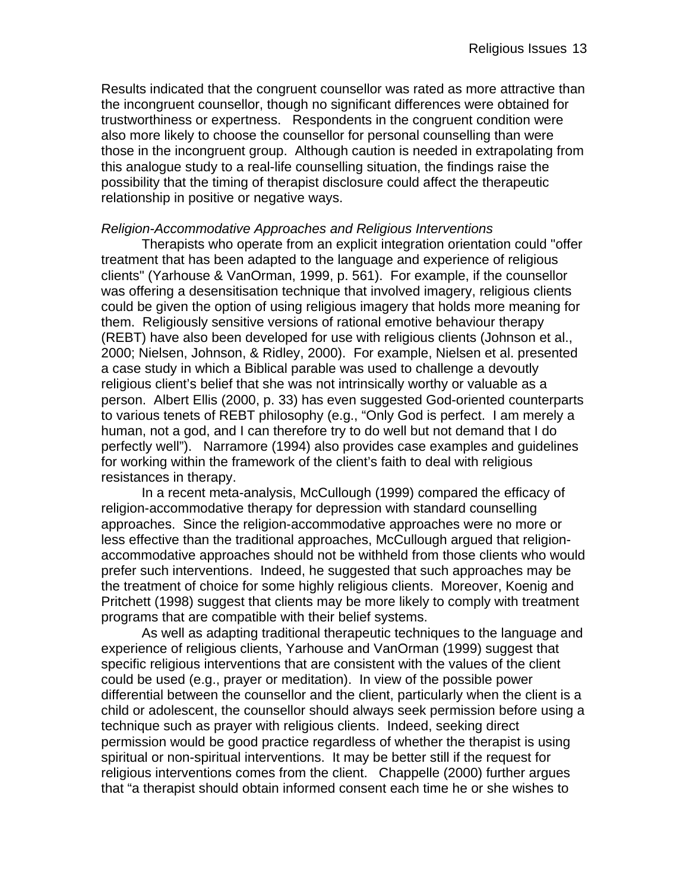Results indicated that the congruent counsellor was rated as more attractive than the incongruent counsellor, though no significant differences were obtained for trustworthiness or expertness. Respondents in the congruent condition were also more likely to choose the counsellor for personal counselling than were those in the incongruent group. Although caution is needed in extrapolating from this analogue study to a real-life counselling situation, the findings raise the possibility that the timing of therapist disclosure could affect the therapeutic relationship in positive or negative ways.

#### *Religion-Accommodative Approaches and Religious Interventions*

 Therapists who operate from an explicit integration orientation could "offer treatment that has been adapted to the language and experience of religious clients" (Yarhouse & VanOrman, 1999, p. 561). For example, if the counsellor was offering a desensitisation technique that involved imagery, religious clients could be given the option of using religious imagery that holds more meaning for them. Religiously sensitive versions of rational emotive behaviour therapy (REBT) have also been developed for use with religious clients (Johnson et al., 2000; Nielsen, Johnson, & Ridley, 2000). For example, Nielsen et al. presented a case study in which a Biblical parable was used to challenge a devoutly religious client's belief that she was not intrinsically worthy or valuable as a person. Albert Ellis (2000, p. 33) has even suggested God-oriented counterparts to various tenets of REBT philosophy (e.g., "Only God is perfect. I am merely a human, not a god, and I can therefore try to do well but not demand that I do perfectly well"). Narramore (1994) also provides case examples and guidelines for working within the framework of the client's faith to deal with religious resistances in therapy.

In a recent meta-analysis, McCullough (1999) compared the efficacy of religion-accommodative therapy for depression with standard counselling approaches. Since the religion-accommodative approaches were no more or less effective than the traditional approaches, McCullough argued that religionaccommodative approaches should not be withheld from those clients who would prefer such interventions. Indeed, he suggested that such approaches may be the treatment of choice for some highly religious clients. Moreover, Koenig and Pritchett (1998) suggest that clients may be more likely to comply with treatment programs that are compatible with their belief systems.

As well as adapting traditional therapeutic techniques to the language and experience of religious clients, Yarhouse and VanOrman (1999) suggest that specific religious interventions that are consistent with the values of the client could be used (e.g., prayer or meditation). In view of the possible power differential between the counsellor and the client, particularly when the client is a child or adolescent, the counsellor should always seek permission before using a technique such as prayer with religious clients. Indeed, seeking direct permission would be good practice regardless of whether the therapist is using spiritual or non-spiritual interventions. It may be better still if the request for religious interventions comes from the client. Chappelle (2000) further argues that "a therapist should obtain informed consent each time he or she wishes to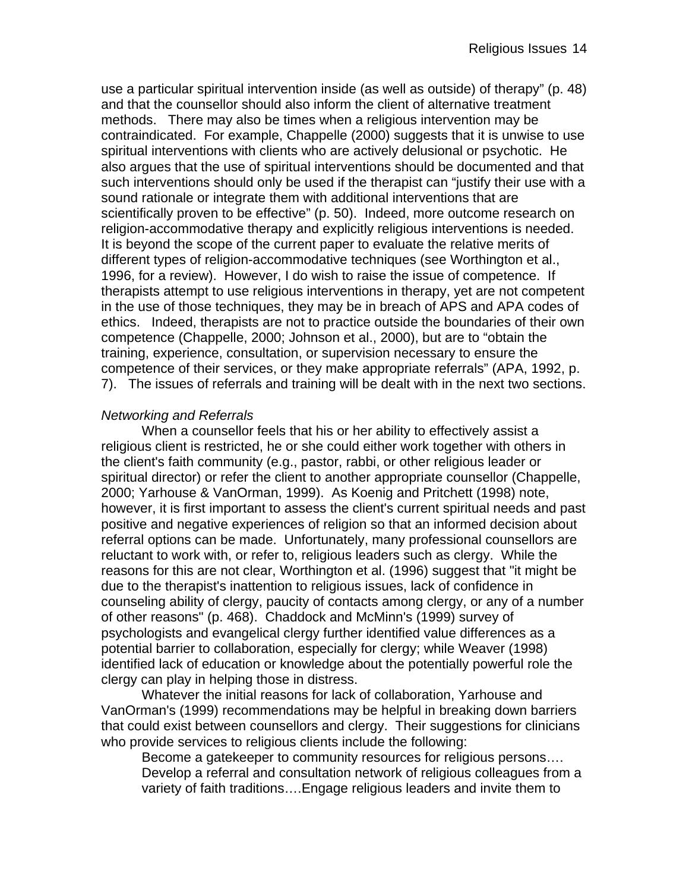use a particular spiritual intervention inside (as well as outside) of therapy" (p. 48) and that the counsellor should also inform the client of alternative treatment methods. There may also be times when a religious intervention may be contraindicated. For example, Chappelle (2000) suggests that it is unwise to use spiritual interventions with clients who are actively delusional or psychotic. He also argues that the use of spiritual interventions should be documented and that such interventions should only be used if the therapist can "justify their use with a sound rationale or integrate them with additional interventions that are scientifically proven to be effective" (p. 50). Indeed, more outcome research on religion-accommodative therapy and explicitly religious interventions is needed. It is beyond the scope of the current paper to evaluate the relative merits of different types of religion-accommodative techniques (see Worthington et al., 1996, for a review). However, I do wish to raise the issue of competence. If therapists attempt to use religious interventions in therapy, yet are not competent in the use of those techniques, they may be in breach of APS and APA codes of ethics. Indeed, therapists are not to practice outside the boundaries of their own competence (Chappelle, 2000; Johnson et al., 2000), but are to "obtain the training, experience, consultation, or supervision necessary to ensure the competence of their services, or they make appropriate referrals" (APA, 1992, p. 7). The issues of referrals and training will be dealt with in the next two sections.

### *Networking and Referrals*

 When a counsellor feels that his or her ability to effectively assist a religious client is restricted, he or she could either work together with others in the client's faith community (e.g., pastor, rabbi, or other religious leader or spiritual director) or refer the client to another appropriate counsellor (Chappelle, 2000; Yarhouse & VanOrman, 1999). As Koenig and Pritchett (1998) note, however, it is first important to assess the client's current spiritual needs and past positive and negative experiences of religion so that an informed decision about referral options can be made. Unfortunately, many professional counsellors are reluctant to work with, or refer to, religious leaders such as clergy. While the reasons for this are not clear, Worthington et al. (1996) suggest that "it might be due to the therapist's inattention to religious issues, lack of confidence in counseling ability of clergy, paucity of contacts among clergy, or any of a number of other reasons" (p. 468). Chaddock and McMinn's (1999) survey of psychologists and evangelical clergy further identified value differences as a potential barrier to collaboration, especially for clergy; while Weaver (1998) identified lack of education or knowledge about the potentially powerful role the clergy can play in helping those in distress.

Whatever the initial reasons for lack of collaboration, Yarhouse and VanOrman's (1999) recommendations may be helpful in breaking down barriers that could exist between counsellors and clergy. Their suggestions for clinicians who provide services to religious clients include the following:

Become a gatekeeper to community resources for religious persons…. Develop a referral and consultation network of religious colleagues from a variety of faith traditions….Engage religious leaders and invite them to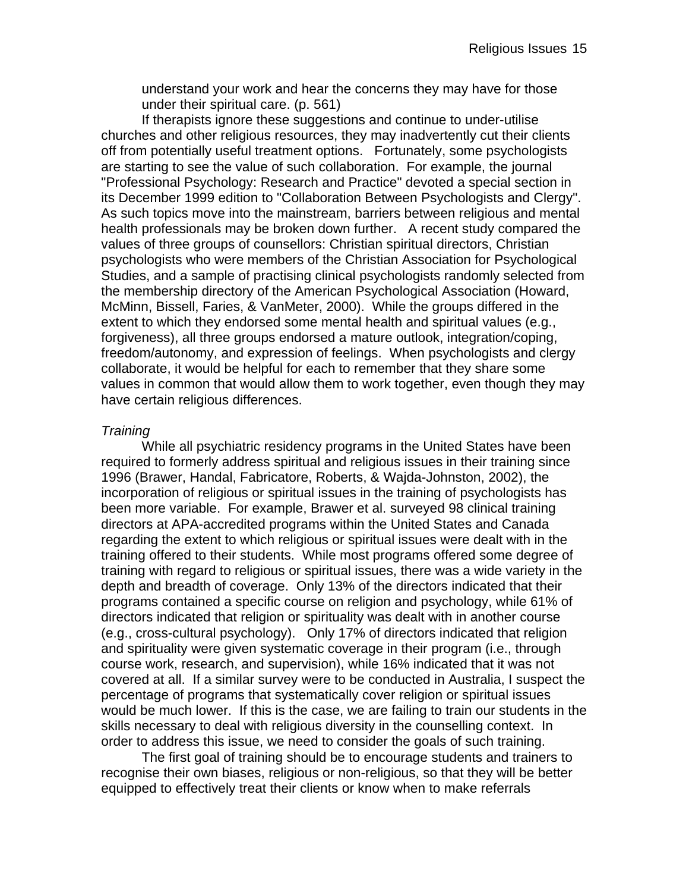understand your work and hear the concerns they may have for those under their spiritual care. (p. 561)

 If therapists ignore these suggestions and continue to under-utilise churches and other religious resources, they may inadvertently cut their clients off from potentially useful treatment options. Fortunately, some psychologists are starting to see the value of such collaboration. For example, the journal "Professional Psychology: Research and Practice" devoted a special section in its December 1999 edition to "Collaboration Between Psychologists and Clergy". As such topics move into the mainstream, barriers between religious and mental health professionals may be broken down further. A recent study compared the values of three groups of counsellors: Christian spiritual directors, Christian psychologists who were members of the Christian Association for Psychological Studies, and a sample of practising clinical psychologists randomly selected from the membership directory of the American Psychological Association (Howard, McMinn, Bissell, Faries, & VanMeter, 2000). While the groups differed in the extent to which they endorsed some mental health and spiritual values (e.g., forgiveness), all three groups endorsed a mature outlook, integration/coping, freedom/autonomy, and expression of feelings. When psychologists and clergy collaborate, it would be helpful for each to remember that they share some values in common that would allow them to work together, even though they may have certain religious differences.

#### *Training*

 While all psychiatric residency programs in the United States have been required to formerly address spiritual and religious issues in their training since 1996 (Brawer, Handal, Fabricatore, Roberts, & Wajda-Johnston, 2002), the incorporation of religious or spiritual issues in the training of psychologists has been more variable. For example, Brawer et al. surveyed 98 clinical training directors at APA-accredited programs within the United States and Canada regarding the extent to which religious or spiritual issues were dealt with in the training offered to their students. While most programs offered some degree of training with regard to religious or spiritual issues, there was a wide variety in the depth and breadth of coverage. Only 13% of the directors indicated that their programs contained a specific course on religion and psychology, while 61% of directors indicated that religion or spirituality was dealt with in another course (e.g., cross-cultural psychology). Only 17% of directors indicated that religion and spirituality were given systematic coverage in their program (i.e., through course work, research, and supervision), while 16% indicated that it was not covered at all. If a similar survey were to be conducted in Australia, I suspect the percentage of programs that systematically cover religion or spiritual issues would be much lower. If this is the case, we are failing to train our students in the skills necessary to deal with religious diversity in the counselling context. In order to address this issue, we need to consider the goals of such training.

The first goal of training should be to encourage students and trainers to recognise their own biases, religious or non-religious, so that they will be better equipped to effectively treat their clients or know when to make referrals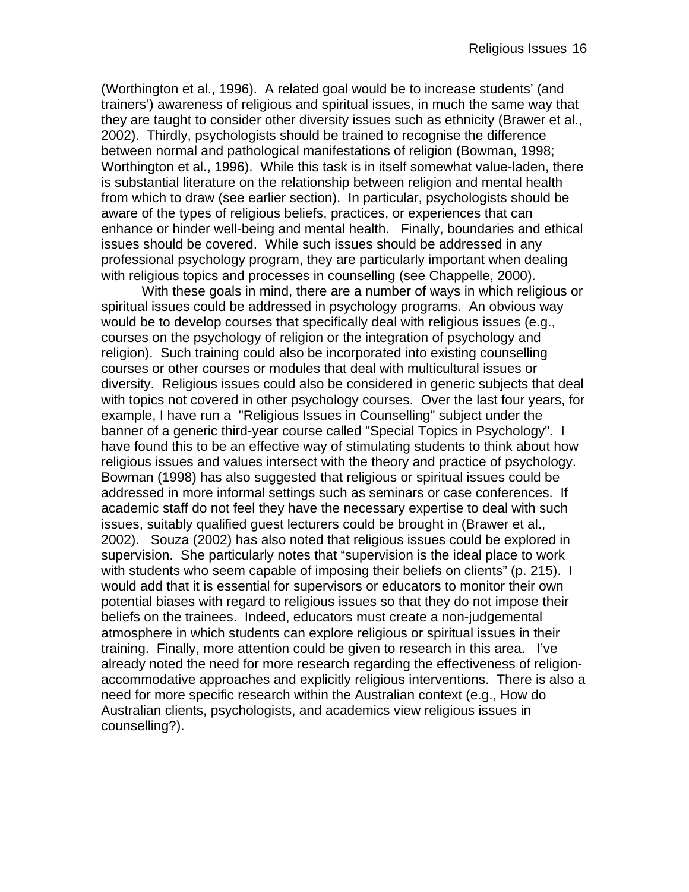(Worthington et al., 1996). A related goal would be to increase students' (and trainers') awareness of religious and spiritual issues, in much the same way that they are taught to consider other diversity issues such as ethnicity (Brawer et al., 2002). Thirdly, psychologists should be trained to recognise the difference between normal and pathological manifestations of religion (Bowman, 1998; Worthington et al., 1996). While this task is in itself somewhat value-laden, there is substantial literature on the relationship between religion and mental health from which to draw (see earlier section). In particular, psychologists should be aware of the types of religious beliefs, practices, or experiences that can enhance or hinder well-being and mental health. Finally, boundaries and ethical issues should be covered. While such issues should be addressed in any professional psychology program, they are particularly important when dealing with religious topics and processes in counselling (see Chappelle, 2000).

With these goals in mind, there are a number of ways in which religious or spiritual issues could be addressed in psychology programs. An obvious way would be to develop courses that specifically deal with religious issues (e.g., courses on the psychology of religion or the integration of psychology and religion). Such training could also be incorporated into existing counselling courses or other courses or modules that deal with multicultural issues or diversity. Religious issues could also be considered in generic subjects that deal with topics not covered in other psychology courses. Over the last four years, for example, I have run a "Religious Issues in Counselling" subject under the banner of a generic third-year course called "Special Topics in Psychology". I have found this to be an effective way of stimulating students to think about how religious issues and values intersect with the theory and practice of psychology. Bowman (1998) has also suggested that religious or spiritual issues could be addressed in more informal settings such as seminars or case conferences. If academic staff do not feel they have the necessary expertise to deal with such issues, suitably qualified guest lecturers could be brought in (Brawer et al., 2002). Souza (2002) has also noted that religious issues could be explored in supervision. She particularly notes that "supervision is the ideal place to work with students who seem capable of imposing their beliefs on clients" (p. 215). I would add that it is essential for supervisors or educators to monitor their own potential biases with regard to religious issues so that they do not impose their beliefs on the trainees. Indeed, educators must create a non-judgemental atmosphere in which students can explore religious or spiritual issues in their training. Finally, more attention could be given to research in this area. I've already noted the need for more research regarding the effectiveness of religionaccommodative approaches and explicitly religious interventions. There is also a need for more specific research within the Australian context (e.g., How do Australian clients, psychologists, and academics view religious issues in counselling?).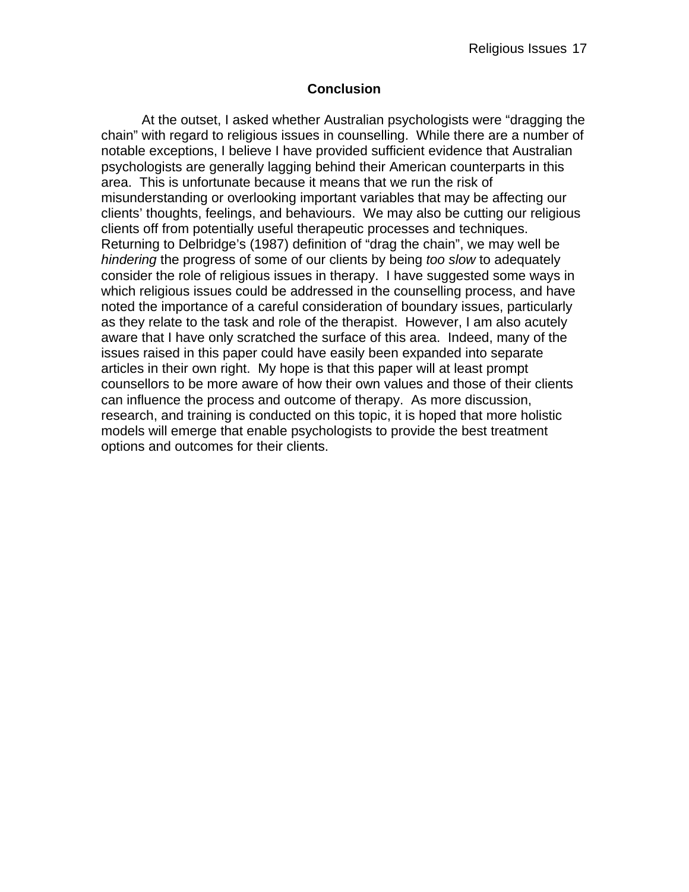### **Conclusion**

 At the outset, I asked whether Australian psychologists were "dragging the chain" with regard to religious issues in counselling. While there are a number of notable exceptions, I believe I have provided sufficient evidence that Australian psychologists are generally lagging behind their American counterparts in this area. This is unfortunate because it means that we run the risk of misunderstanding or overlooking important variables that may be affecting our clients' thoughts, feelings, and behaviours. We may also be cutting our religious clients off from potentially useful therapeutic processes and techniques. Returning to Delbridge's (1987) definition of "drag the chain", we may well be *hindering* the progress of some of our clients by being *too slow* to adequately consider the role of religious issues in therapy. I have suggested some ways in which religious issues could be addressed in the counselling process, and have noted the importance of a careful consideration of boundary issues, particularly as they relate to the task and role of the therapist. However, I am also acutely aware that I have only scratched the surface of this area. Indeed, many of the issues raised in this paper could have easily been expanded into separate articles in their own right. My hope is that this paper will at least prompt counsellors to be more aware of how their own values and those of their clients can influence the process and outcome of therapy. As more discussion, research, and training is conducted on this topic, it is hoped that more holistic models will emerge that enable psychologists to provide the best treatment options and outcomes for their clients.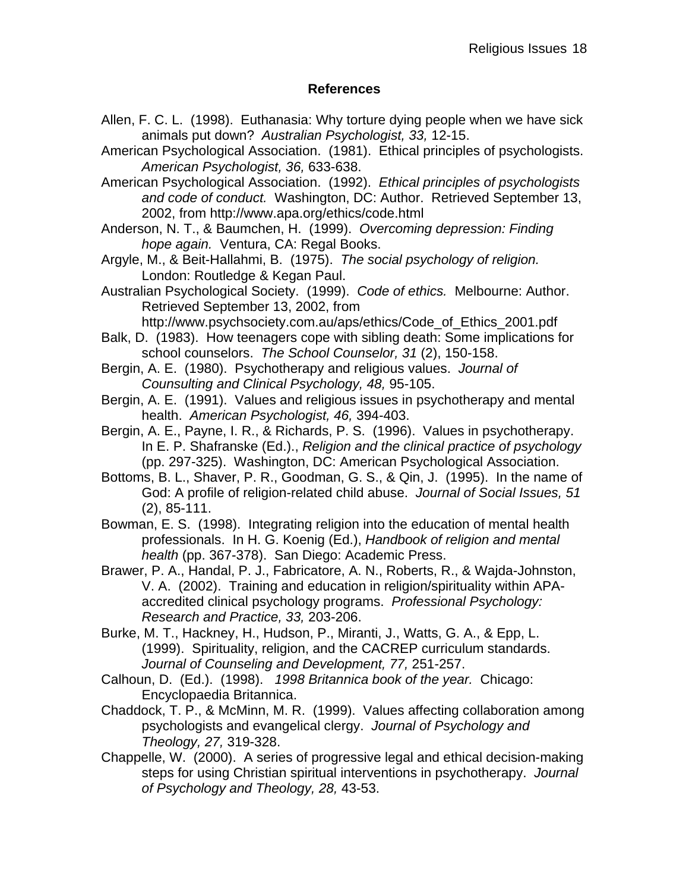### **References**

- Allen, F. C. L. (1998). Euthanasia: Why torture dying people when we have sick animals put down? *Australian Psychologist, 33,* 12-15.
- American Psychological Association. (1981). Ethical principles of psychologists. *American Psychologist, 36,* 633-638.

American Psychological Association. (1992). *Ethical principles of psychologists and code of conduct.* Washington, DC: Author. Retrieved September 13, 2002, from http://www.apa.org/ethics/code.html

- Anderson, N. T., & Baumchen, H. (1999). *Overcoming depression: Finding hope again.* Ventura, CA: Regal Books.
- Argyle, M., & Beit-Hallahmi, B. (1975). *The social psychology of religion.* London: Routledge & Kegan Paul.
- Australian Psychological Society. (1999). *Code of ethics.* Melbourne: Author. Retrieved September 13, 2002, from

http://www.psychsociety.com.au/aps/ethics/Code\_of\_Ethics\_2001.pdf

- Balk, D. (1983). How teenagers cope with sibling death: Some implications for school counselors. *The School Counselor, 31* (2), 150-158.
- Bergin, A. E. (1980). Psychotherapy and religious values. *Journal of Counsulting and Clinical Psychology, 48,* 95-105.

Bergin, A. E. (1991). Values and religious issues in psychotherapy and mental health. *American Psychologist, 46,* 394-403.

Bergin, A. E., Payne, I. R., & Richards, P. S. (1996). Values in psychotherapy. In E. P. Shafranske (Ed.)., *Religion and the clinical practice of psychology*  (pp. 297-325). Washington, DC: American Psychological Association.

Bottoms, B. L., Shaver, P. R., Goodman, G. S., & Qin, J. (1995). In the name of God: A profile of religion-related child abuse. *Journal of Social Issues, 51* (2), 85-111.

Bowman, E. S. (1998). Integrating religion into the education of mental health professionals. In H. G. Koenig (Ed.), *Handbook of religion and mental health* (pp. 367-378). San Diego: Academic Press.

Brawer, P. A., Handal, P. J., Fabricatore, A. N., Roberts, R., & Wajda-Johnston, V. A. (2002). Training and education in religion/spirituality within APAaccredited clinical psychology programs. *Professional Psychology: Research and Practice, 33,* 203-206.

Burke, M. T., Hackney, H., Hudson, P., Miranti, J., Watts, G. A., & Epp, L. (1999). Spirituality, religion, and the CACREP curriculum standards. *Journal of Counseling and Development, 77,* 251-257.

- Calhoun, D. (Ed.). (1998). *1998 Britannica book of the year.* Chicago: Encyclopaedia Britannica.
- Chaddock, T. P., & McMinn, M. R. (1999). Values affecting collaboration among psychologists and evangelical clergy. *Journal of Psychology and Theology, 27,* 319-328.
- Chappelle, W. (2000). A series of progressive legal and ethical decision-making steps for using Christian spiritual interventions in psychotherapy. *Journal of Psychology and Theology, 28,* 43-53.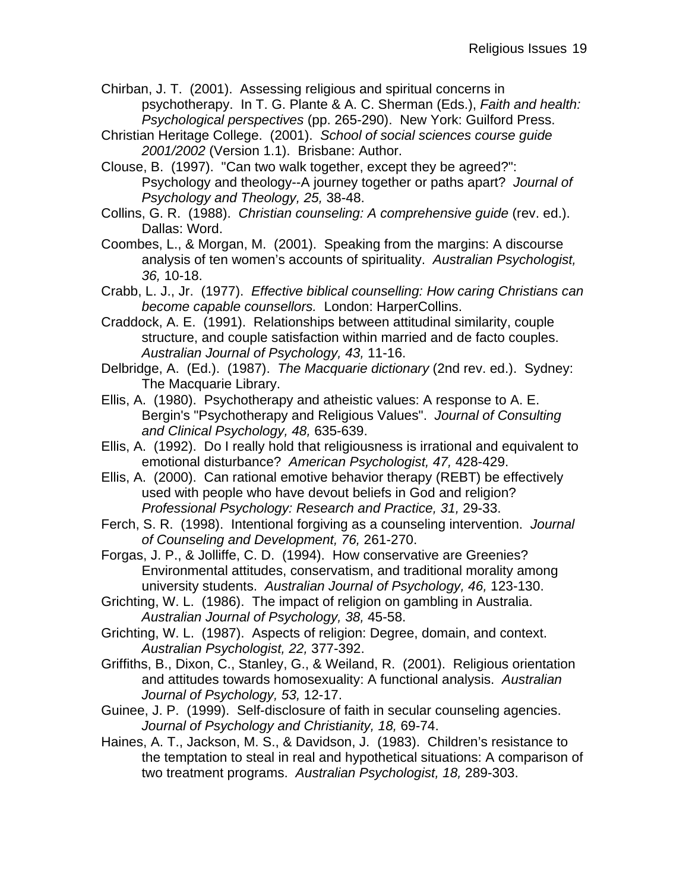Chirban, J. T. (2001). Assessing religious and spiritual concerns in psychotherapy. In T. G. Plante & A. C. Sherman (Eds.), *Faith and health: Psychological perspectives* (pp. 265-290). New York: Guilford Press.

Christian Heritage College. (2001). *School of social sciences course guide 2001/2002* (Version 1.1). Brisbane: Author.

Clouse, B. (1997). "Can two walk together, except they be agreed?": Psychology and theology--A journey together or paths apart? *Journal of Psychology and Theology, 25,* 38-48.

Collins, G. R. (1988). *Christian counseling: A comprehensive guide* (rev. ed.). Dallas: Word.

Coombes, L., & Morgan, M. (2001). Speaking from the margins: A discourse analysis of ten women's accounts of spirituality. *Australian Psychologist, 36,* 10-18.

Crabb, L. J., Jr. (1977). *Effective biblical counselling: How caring Christians can become capable counsellors.* London: HarperCollins.

Craddock, A. E. (1991). Relationships between attitudinal similarity, couple structure, and couple satisfaction within married and de facto couples. *Australian Journal of Psychology, 43,* 11-16.

Delbridge, A. (Ed.). (1987). *The Macquarie dictionary* (2nd rev. ed.). Sydney: The Macquarie Library.

Ellis, A. (1980). Psychotherapy and atheistic values: A response to A. E. Bergin's "Psychotherapy and Religious Values". *Journal of Consulting and Clinical Psychology, 48,* 635-639.

Ellis, A. (1992). Do I really hold that religiousness is irrational and equivalent to emotional disturbance? *American Psychologist, 47,* 428-429.

Ellis, A. (2000). Can rational emotive behavior therapy (REBT) be effectively used with people who have devout beliefs in God and religion? *Professional Psychology: Research and Practice, 31,* 29-33.

Ferch, S. R. (1998). Intentional forgiving as a counseling intervention. *Journal of Counseling and Development, 76,* 261-270.

Forgas, J. P., & Jolliffe, C. D. (1994). How conservative are Greenies? Environmental attitudes, conservatism, and traditional morality among university students. *Australian Journal of Psychology, 46,* 123-130.

Grichting, W. L. (1986). The impact of religion on gambling in Australia. *Australian Journal of Psychology, 38,* 45-58.

Grichting, W. L. (1987). Aspects of religion: Degree, domain, and context. *Australian Psychologist, 22,* 377-392.

Griffiths, B., Dixon, C., Stanley, G., & Weiland, R. (2001). Religious orientation and attitudes towards homosexuality: A functional analysis. *Australian Journal of Psychology, 53,* 12-17.

Guinee, J. P. (1999). Self-disclosure of faith in secular counseling agencies. *Journal of Psychology and Christianity, 18,* 69-74.

Haines, A. T., Jackson, M. S., & Davidson, J. (1983). Children's resistance to the temptation to steal in real and hypothetical situations: A comparison of two treatment programs. *Australian Psychologist, 18,* 289-303.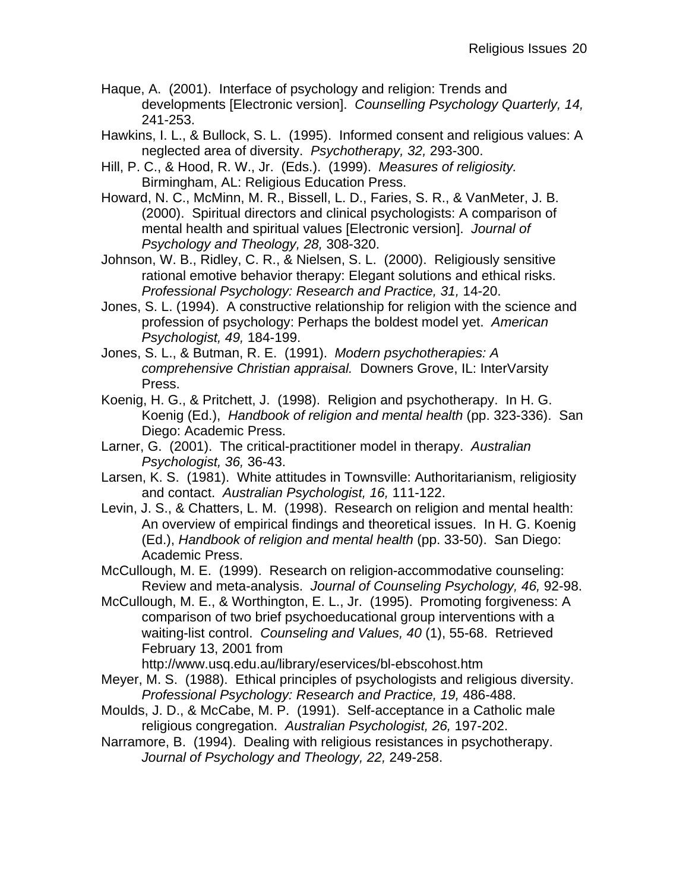- Haque, A. (2001). Interface of psychology and religion: Trends and developments [Electronic version]. *Counselling Psychology Quarterly, 14,* 241-253.
- Hawkins, I. L., & Bullock, S. L. (1995). Informed consent and religious values: A neglected area of diversity. *Psychotherapy, 32,* 293-300.
- Hill, P. C., & Hood, R. W., Jr. (Eds.). (1999). *Measures of religiosity.* Birmingham, AL: Religious Education Press.
- Howard, N. C., McMinn, M. R., Bissell, L. D., Faries, S. R., & VanMeter, J. B. (2000). Spiritual directors and clinical psychologists: A comparison of mental health and spiritual values [Electronic version]. *Journal of Psychology and Theology, 28,* 308-320.
- Johnson, W. B., Ridley, C. R., & Nielsen, S. L. (2000). Religiously sensitive rational emotive behavior therapy: Elegant solutions and ethical risks. *Professional Psychology: Research and Practice, 31,* 14-20.
- Jones, S. L. (1994). A constructive relationship for religion with the science and profession of psychology: Perhaps the boldest model yet. *American Psychologist, 49,* 184-199.
- Jones, S. L., & Butman, R. E. (1991). *Modern psychotherapies: A comprehensive Christian appraisal.* Downers Grove, IL: InterVarsity Press.
- Koenig, H. G., & Pritchett, J. (1998). Religion and psychotherapy. In H. G. Koenig (Ed.), *Handbook of religion and mental health* (pp. 323-336). San Diego: Academic Press.
- Larner, G. (2001). The critical-practitioner model in therapy. *Australian Psychologist, 36,* 36-43.
- Larsen, K. S. (1981). White attitudes in Townsville: Authoritarianism, religiosity and contact. *Australian Psychologist, 16,* 111-122.
- Levin, J. S., & Chatters, L. M. (1998). Research on religion and mental health: An overview of empirical findings and theoretical issues. In H. G. Koenig (Ed.), *Handbook of religion and mental health* (pp. 33-50). San Diego: Academic Press.
- McCullough, M. E. (1999). Research on religion-accommodative counseling: Review and meta-analysis. *Journal of Counseling Psychology, 46,* 92-98.
- McCullough, M. E., & Worthington, E. L., Jr. (1995). Promoting forgiveness: A comparison of two brief psychoeducational group interventions with a waiting-list control. *Counseling and Values, 40* (1), 55-68. Retrieved February 13, 2001 from

http://www.usq.edu.au/library/eservices/bl-ebscohost.htm

- Meyer, M. S. (1988). Ethical principles of psychologists and religious diversity. *Professional Psychology: Research and Practice, 19,* 486-488.
- Moulds, J. D., & McCabe, M. P. (1991). Self-acceptance in a Catholic male religious congregation. *Australian Psychologist, 26,* 197-202.
- Narramore, B. (1994). Dealing with religious resistances in psychotherapy. *Journal of Psychology and Theology, 22,* 249-258.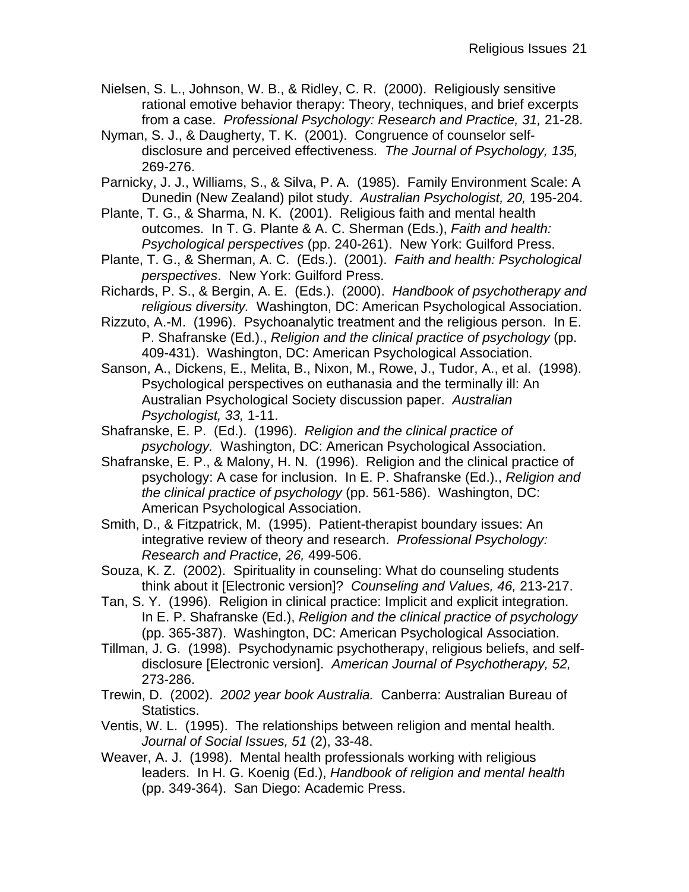- Nielsen, S. L., Johnson, W. B., & Ridley, C. R. (2000). Religiously sensitive rational emotive behavior therapy: Theory, techniques, and brief excerpts from a case. *Professional Psychology: Research and Practice, 31,* 21-28.
- Nyman, S. J., & Daugherty, T. K. (2001). Congruence of counselor selfdisclosure and perceived effectiveness. *The Journal of Psychology, 135,* 269-276.
- Parnicky, J. J., Williams, S., & Silva, P. A. (1985). Family Environment Scale: A Dunedin (New Zealand) pilot study. *Australian Psychologist, 20,* 195-204.
- Plante, T. G., & Sharma, N. K. (2001). Religious faith and mental health outcomes. In T. G. Plante & A. C. Sherman (Eds.), *Faith and health: Psychological perspectives* (pp. 240-261). New York: Guilford Press.
- Plante, T. G., & Sherman, A. C. (Eds.). (2001). *Faith and health: Psychological perspectives*. New York: Guilford Press.
- Richards, P. S., & Bergin, A. E. (Eds.). (2000). *Handbook of psychotherapy and religious diversity.* Washington, DC: American Psychological Association.
- Rizzuto, A.-M. (1996). Psychoanalytic treatment and the religious person. In E. P. Shafranske (Ed.)., *Religion and the clinical practice of psychology* (pp. 409-431). Washington, DC: American Psychological Association.
- Sanson, A., Dickens, E., Melita, B., Nixon, M., Rowe, J., Tudor, A., et al. (1998). Psychological perspectives on euthanasia and the terminally ill: An Australian Psychological Society discussion paper. *Australian Psychologist, 33,* 1-11.
- Shafranske, E. P. (Ed.). (1996). *Religion and the clinical practice of psychology.* Washington, DC: American Psychological Association.
- Shafranske, E. P., & Malony, H. N. (1996). Religion and the clinical practice of psychology: A case for inclusion. In E. P. Shafranske (Ed.)., *Religion and the clinical practice of psychology* (pp. 561-586). Washington, DC: American Psychological Association.
- Smith, D., & Fitzpatrick, M. (1995). Patient-therapist boundary issues: An integrative review of theory and research. *Professional Psychology: Research and Practice, 26,* 499-506.
- Souza, K. Z. (2002). Spirituality in counseling: What do counseling students think about it [Electronic version]? *Counseling and Values, 46,* 213-217.
- Tan, S. Y. (1996). Religion in clinical practice: Implicit and explicit integration. In E. P. Shafranske (Ed.), *Religion and the clinical practice of psychology* (pp. 365-387). Washington, DC: American Psychological Association.
- Tillman, J. G. (1998). Psychodynamic psychotherapy, religious beliefs, and selfdisclosure [Electronic version]. *American Journal of Psychotherapy, 52,* 273-286.
- Trewin, D. (2002). *2002 year book Australia.* Canberra: Australian Bureau of Statistics.
- Ventis, W. L. (1995). The relationships between religion and mental health. *Journal of Social Issues, 51* (2), 33-48.
- Weaver, A. J. (1998). Mental health professionals working with religious leaders. In H. G. Koenig (Ed.), *Handbook of religion and mental health* (pp. 349-364). San Diego: Academic Press.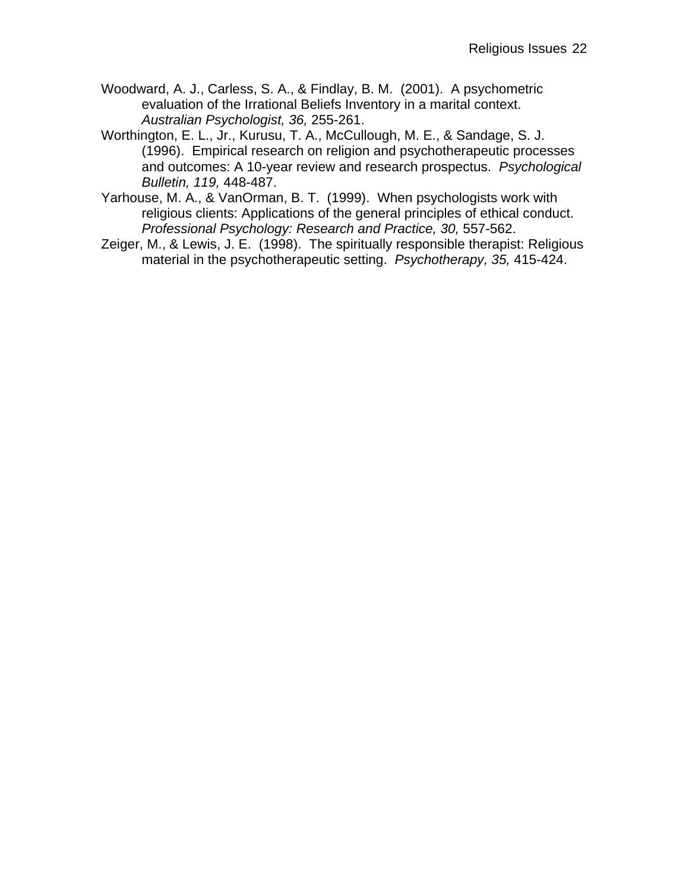- Woodward, A. J., Carless, S. A., & Findlay, B. M. (2001). A psychometric evaluation of the Irrational Beliefs Inventory in a marital context. *Australian Psychologist, 36,* 255-261.
- Worthington, E. L., Jr., Kurusu, T. A., McCullough, M. E., & Sandage, S. J. (1996). Empirical research on religion and psychotherapeutic processes and outcomes: A 10-year review and research prospectus. *Psychological Bulletin, 119,* 448-487.
- Yarhouse, M. A., & VanOrman, B. T. (1999). When psychologists work with religious clients: Applications of the general principles of ethical conduct. *Professional Psychology: Research and Practice, 30,* 557-562.
- Zeiger, M., & Lewis, J. E. (1998). The spiritually responsible therapist: Religious material in the psychotherapeutic setting. *Psychotherapy, 35,* 415-424.